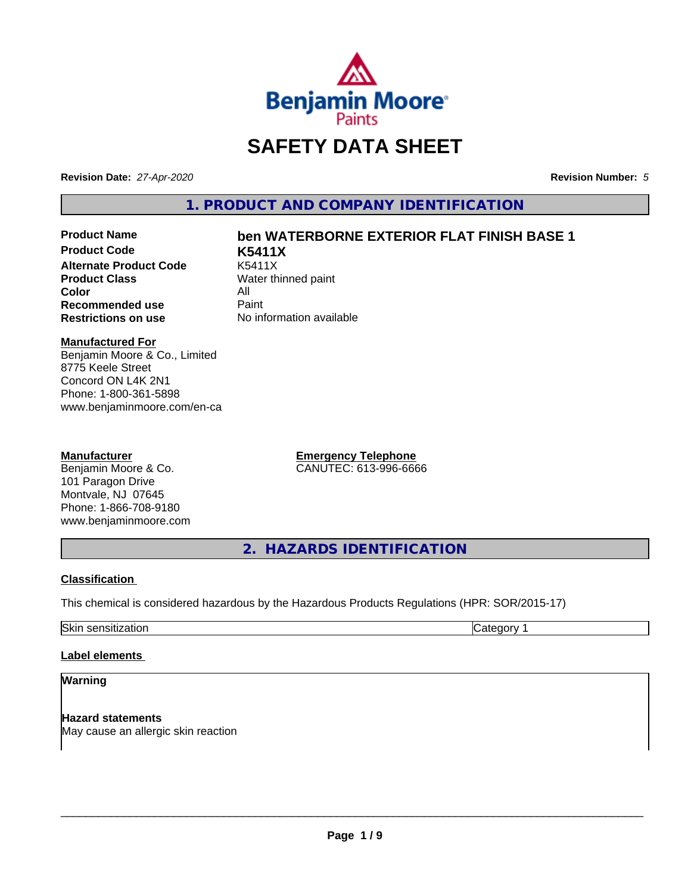

# **SAFETY DATA SHEET**

**Revision Date:** *27-Apr-2020* **Revision Number:** *5*

**1. PRODUCT AND COMPANY IDENTIFICATION**

**Product Code K5411X Alternate Product Code**<br>Product Class **Color** All<br> **Recommended use** Paint **Recommended use**<br>Restrictions on use

# **Product Name ben WATERBORNE EXTERIOR FLAT FINISH BASE 1**

**Water thinned paint No information available** 

#### **Manufactured For**

Benjamin Moore & Co., Limited 8775 Keele Street Concord ON L4K 2N1 Phone: 1-800-361-5898 www.benjaminmoore.com/en-ca

# **Manufacturer**

Benjamin Moore & Co. 101 Paragon Drive Montvale, NJ 07645 Phone: 1-866-708-9180 www.benjaminmoore.com **Emergency Telephone** CANUTEC: 613-996-6666

**2. HAZARDS IDENTIFICATION**

# **Classification**

This chemical is considered hazardous by the Hazardous Products Regulations (HPR: SOR/2015-17)

Skin sensitization **Category 1 Category 1** 

# **Label elements**

#### **Warning**

**Hazard statements** May cause an allergic skin reaction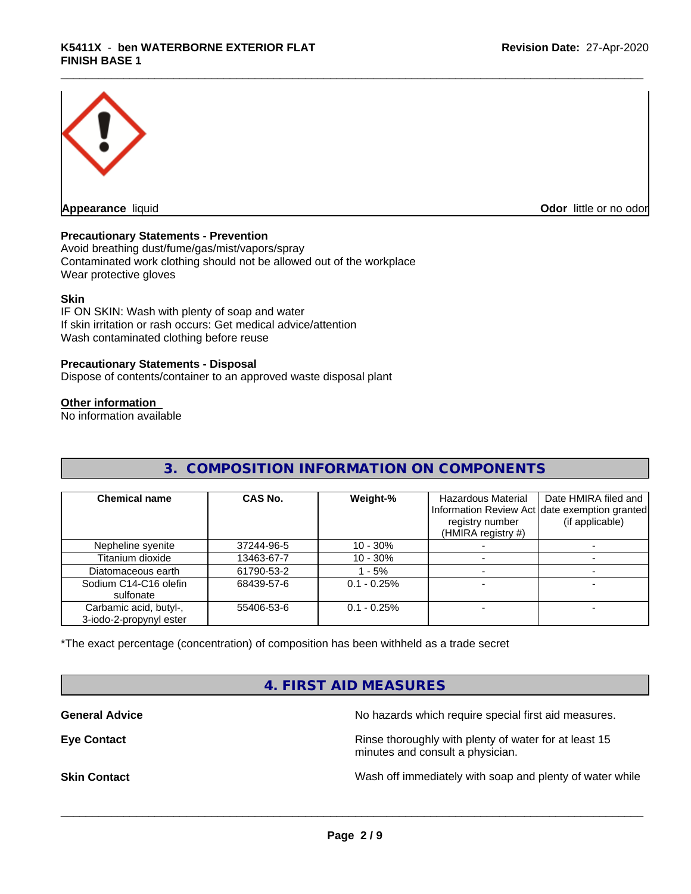

**Appearance** liquid **Odor in the original of the original of the original of the original of the original of the original of the original of the original of the original of the original of the original of the original of t** 

#### **Precautionary Statements - Prevention**

Avoid breathing dust/fume/gas/mist/vapors/spray Contaminated work clothing should not be allowed out of the workplace Wear protective gloves

#### **Skin**

IF ON SKIN: Wash with plenty of soap and water If skin irritation or rash occurs: Get medical advice/attention Wash contaminated clothing before reuse

#### **Precautionary Statements - Disposal**

Dispose of contents/container to an approved waste disposal plant

# **Other information**

No information available

# **3. COMPOSITION INFORMATION ON COMPONENTS**

| <b>Chemical name</b>                              | CAS No.    | Weight-%       | Hazardous Material<br>registry number<br>(HMIRA registry #) | Date HMIRA filed and<br>Information Review Act date exemption granted<br>(if applicable) |
|---------------------------------------------------|------------|----------------|-------------------------------------------------------------|------------------------------------------------------------------------------------------|
| Nepheline syenite                                 | 37244-96-5 | $10 - 30\%$    |                                                             |                                                                                          |
| Titanium dioxide                                  | 13463-67-7 | $10 - 30%$     |                                                             |                                                                                          |
| Diatomaceous earth                                | 61790-53-2 | $-5%$          |                                                             |                                                                                          |
| Sodium C14-C16 olefin<br>sulfonate                | 68439-57-6 | $0.1 - 0.25\%$ |                                                             |                                                                                          |
| Carbamic acid, butyl-,<br>3-iodo-2-propynyl ester | 55406-53-6 | $0.1 - 0.25%$  |                                                             |                                                                                          |

\*The exact percentage (concentration) of composition has been withheld as a trade secret

# **4. FIRST AID MEASURES**

**General Advice** No hazards which require special first aid measures.

**Eye Contact Exercise 2.1 All 2.5 All 2.5 All 2.6 All 2.6 All 2.6 All 2.6 All 2.6 All 2.6 All 2.6 All 2.6 All 2.6 All 2.6 All 2.6 All 2.6 All 2.6 All 2.6 All 2.6 All 2.6 All 2.6 All 2.6 All 2.6 All 2.6 All 2.6 All 2.6 Al** minutes and consult a physician.

**Skin Contact** Same of the Mash off immediately with soap and plenty of water while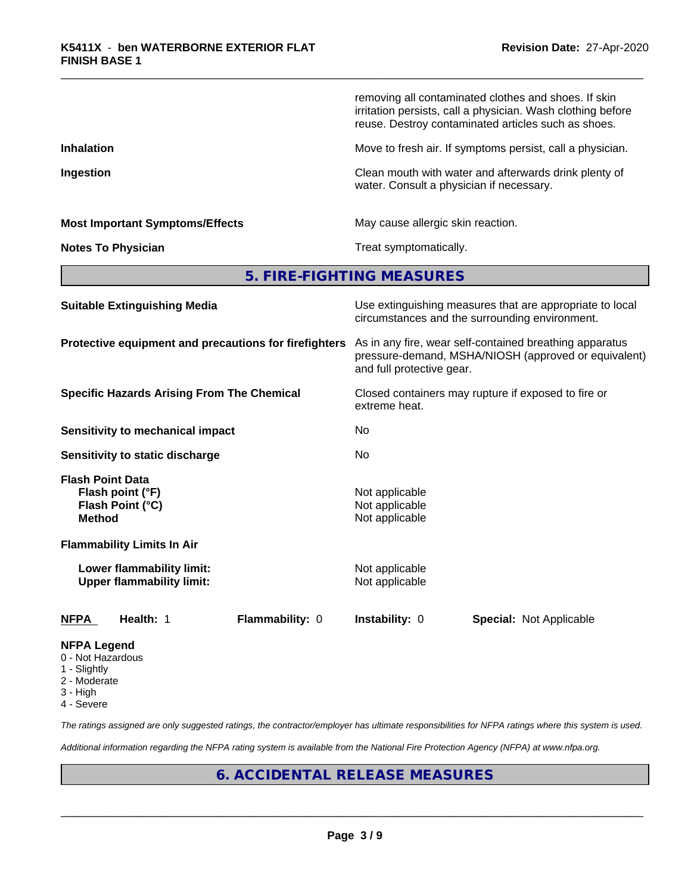|                                                                                  | removing all contaminated clothes and shoes. If skin<br>irritation persists, call a physician. Wash clothing before<br>reuse. Destroy contaminated articles such as shoes. |
|----------------------------------------------------------------------------------|----------------------------------------------------------------------------------------------------------------------------------------------------------------------------|
| <b>Inhalation</b>                                                                | Move to fresh air. If symptoms persist, call a physician.                                                                                                                  |
| Ingestion                                                                        | Clean mouth with water and afterwards drink plenty of<br>water. Consult a physician if necessary.                                                                          |
| <b>Most Important Symptoms/Effects</b>                                           | May cause allergic skin reaction.                                                                                                                                          |
| <b>Notes To Physician</b>                                                        | Treat symptomatically.                                                                                                                                                     |
|                                                                                  | 5. FIRE-FIGHTING MEASURES                                                                                                                                                  |
| <b>Suitable Extinguishing Media</b>                                              | Use extinguishing measures that are appropriate to local<br>circumstances and the surrounding environment.                                                                 |
| Protective equipment and precautions for firefighters                            | As in any fire, wear self-contained breathing apparatus<br>pressure-demand, MSHA/NIOSH (approved or equivalent)<br>and full protective gear.                               |
| <b>Specific Hazards Arising From The Chemical</b>                                | Closed containers may rupture if exposed to fire or<br>extreme heat.                                                                                                       |
| <b>Sensitivity to mechanical impact</b>                                          | No.                                                                                                                                                                        |
| Sensitivity to static discharge                                                  | No.                                                                                                                                                                        |
| <b>Flash Point Data</b><br>Flash point (°F)<br>Flash Point (°C)<br><b>Method</b> | Not applicable<br>Not applicable<br>Not applicable                                                                                                                         |
| <b>Flammability Limits In Air</b>                                                |                                                                                                                                                                            |
| Lower flammability limit:<br><b>Upper flammability limit:</b>                    | Not applicable<br>Not applicable                                                                                                                                           |
| Health: 1<br>Flammability: 0<br><b>NFPA</b>                                      | <b>Instability: 0</b><br><b>Special: Not Applicable</b>                                                                                                                    |

# **NFPA Legend**

- 0 Not Hazardous
- 1 Slightly
- 2 Moderate
- 3 High
- 4 Severe

*The ratings assigned are only suggested ratings, the contractor/employer has ultimate responsibilities for NFPA ratings where this system is used.*

*Additional information regarding the NFPA rating system is available from the National Fire Protection Agency (NFPA) at www.nfpa.org.*

# **6. ACCIDENTAL RELEASE MEASURES**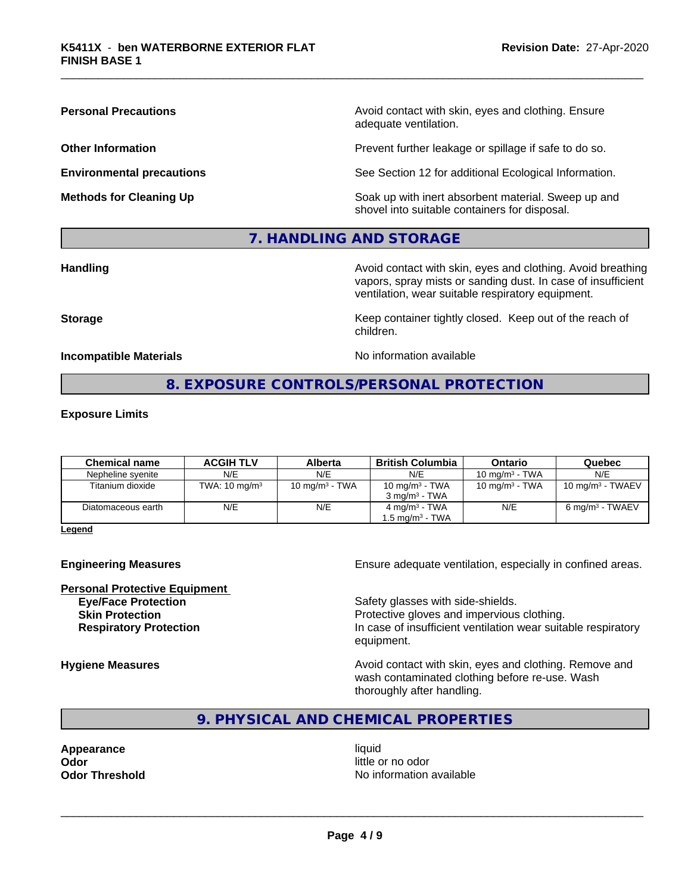**Personal Precautions Precautions** Avoid contact with skin, eyes and clothing. Ensure adequate ventilation.

**Other Information Other Information Prevent further leakage or spillage if safe to do so.** 

**Environmental precautions** See Section 12 for additional Ecological Information.

**Methods for Cleaning Up Example 20 All 20 All 20 All 20 Soak** up with inert absorbent material. Sweep up and shovel into suitable containers for disposal.

# **7. HANDLING AND STORAGE**

**Handling Handling Avoid contact with skin, eyes and clothing. Avoid breathing** vapors, spray mists or sanding dust. In case of insufficient ventilation, wear suitable respiratory equipment.

**Storage Keep container tightly closed. Keep out of the reach of Keep** container tightly closed. Keep out of the reach of children.

**Incompatible Materials No information available** 

# **8. EXPOSURE CONTROLS/PERSONAL PROTECTION**

#### **Exposure Limits**

| <b>Chemical name</b> | <b>ACGIH TLV</b>         | Alberta           | <b>British Columbia</b>  | Ontario           | Quebec                       |
|----------------------|--------------------------|-------------------|--------------------------|-------------------|------------------------------|
| Nepheline svenite    | N/E                      | N/E               | N/E                      | 10 mg/m $3$ - TWA | N/E                          |
| Titanium dioxide     | TWA: $10 \text{ mg/m}^3$ | 10 mg/m $3$ - TWA | 10 mg/m $3$ - TWA        | 10 mg/m $3$ - TWA | 10 mg/m <sup>3</sup> - TWAEV |
|                      |                          |                   | $3 \text{ ma/m}^3$ - TWA |                   |                              |
| Diatomaceous earth   | N/E                      | N/E               | $4 \text{ mg/m}^3$ - TWA | N/E               | $6 \text{ mg/m}^3$ - TWAEV   |
|                      |                          |                   | 1.5 ma/m $^3$ - TWA      |                   |                              |

**Legend**

**Personal Protective Equipment**

**Engineering Measures Ensure** Ensure adequate ventilation, especially in confined areas.

**Eye/Face Protection Safety glasses with side-shields. Skin Protection Protection Protective gloves and impervious clothing. Respiratory Protection In case of insufficient ventilation wear suitable respiratory** equipment.

**Hygiene Measures Avoid contact with skin, eyes and clothing. Remove and Hygiene Measures Avoid contact with skin, eyes and clothing. Remove and** wash contaminated clothing before re-use. Wash thoroughly after handling.

**9. PHYSICAL AND CHEMICAL PROPERTIES**

**Appearance** liquid **Odor** little or no odor

**Odor Threshold** No information available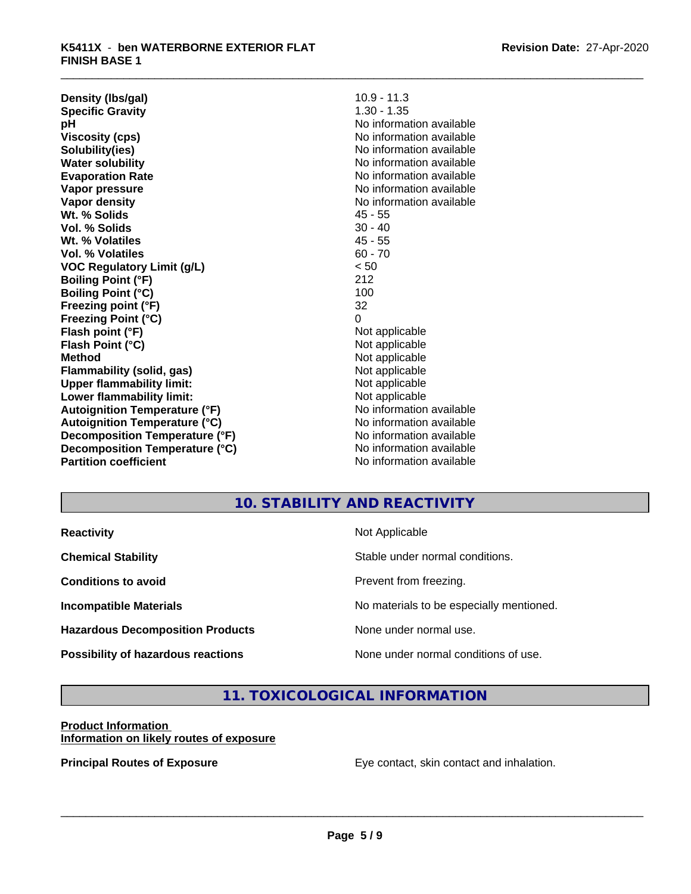**Density (lbs/gal)** 10.9 - 11.3<br> **Specific Gravity** 1.30 - 1.35 **Specific Gravity pH** No information available **Viscosity (cps)** No information available **Solubility(ies)** No information available **Water solubility Water solubility Water solubility Water solubility Water solubility Water solution Evaporation Rate No information available No information available Vapor pressure** No information available in the North American Monte available in the North American available **Vapor density** No information available values and values of  $\alpha$  No information available **Wt. % Solids** 45 - 55 **Vol. % Solids** 30 - 40 **Wt. % Volatiles** 45 - 55 **Vol. % Volatiles** 60 - 70 **VOC Regulatory Limit (g/L)** < 50 **Boiling Point (°F)** 212 **Boiling Point (°C)** 100<br> **Preezing point (°F)** 22 **Freezing point (°F) Freezing Point (°C)** 0 **Flash point (°F)**<br> **Flash Point (°C)**<br> **Flash Point (°C)**<br> **Not** applicable **Flash Point (°C) Method** Not applicable **Flammability (solid, gas)**<br> **Upper flammability limit:**<br>
Upper flammability limit:<br>  $\begin{array}{ccc}\n\bullet & \bullet & \bullet \\
\bullet & \bullet & \bullet\n\end{array}$  Not applicable **Upper flammability limit:**<br> **Lower flammability limit:**<br>
Not applicable<br>
Not applicable **Lower flammability limit:**<br> **Autoignition Temperature (°F)** Not applicable havailable available **Autoignition Temperature (°F)**<br> **Autoignition Temperature (°C)** No information available **Autoignition Temperature (°C) Decomposition Temperature (°F)** No information available **Decomposition Temperature (°C)**<br> **Partition coefficient**<br> **Partition coefficient**<br> **No** information available

**No information available** 

# **10. STABILITY AND REACTIVITY**

| <b>Reactivity</b>                         | Not Applicable                           |
|-------------------------------------------|------------------------------------------|
| <b>Chemical Stability</b>                 | Stable under normal conditions.          |
| <b>Conditions to avoid</b>                | Prevent from freezing.                   |
| <b>Incompatible Materials</b>             | No materials to be especially mentioned. |
| <b>Hazardous Decomposition Products</b>   | None under normal use.                   |
| <b>Possibility of hazardous reactions</b> | None under normal conditions of use.     |

# **11. TOXICOLOGICAL INFORMATION**

# **Product Information Information on likely routes of exposure**

**Principal Routes of Exposure Exposure** Eye contact, skin contact and inhalation.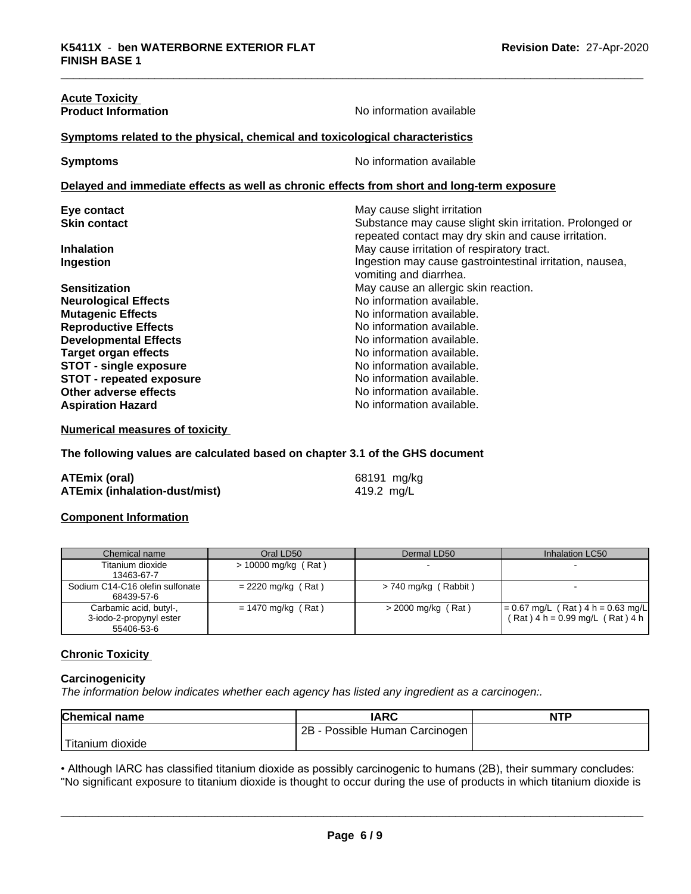| <b>Acute Toxicity</b>                                                        |                                                                                                                 |
|------------------------------------------------------------------------------|-----------------------------------------------------------------------------------------------------------------|
| <b>Product Information</b>                                                   | No information available                                                                                        |
| Symptoms related to the physical, chemical and toxicological characteristics |                                                                                                                 |
| <b>Symptoms</b>                                                              | No information available                                                                                        |
|                                                                              | Delayed and immediate effects as well as chronic effects from short and long-term exposure                      |
| Eye contact                                                                  | May cause slight irritation                                                                                     |
| <b>Skin contact</b>                                                          | Substance may cause slight skin irritation. Prolonged or<br>repeated contact may dry skin and cause irritation. |
| <b>Inhalation</b>                                                            | May cause irritation of respiratory tract.                                                                      |
| Ingestion                                                                    | Ingestion may cause gastrointestinal irritation, nausea,<br>vomiting and diarrhea.                              |
| <b>Sensitization</b>                                                         | May cause an allergic skin reaction.                                                                            |
| <b>Neurological Effects</b>                                                  | No information available.                                                                                       |
| <b>Mutagenic Effects</b>                                                     | No information available.                                                                                       |
| <b>Reproductive Effects</b>                                                  | No information available.                                                                                       |
| <b>Developmental Effects</b>                                                 | No information available.                                                                                       |
| <b>Target organ effects</b>                                                  | No information available.                                                                                       |
| <b>STOT - single exposure</b>                                                | No information available.                                                                                       |
| <b>STOT - repeated exposure</b>                                              | No information available.                                                                                       |
| Other adverse effects                                                        | No information available.                                                                                       |
| <b>Aspiration Hazard</b>                                                     | No information available.                                                                                       |

**Numerical measures of toxicity**

**The following values are calculated based on chapter 3.1 of the GHS document**

| <b>ATEmix (oral)</b>                 | 68191 mg/kg |
|--------------------------------------|-------------|
| <b>ATEmix (inhalation-dust/mist)</b> | 419.2 mg/L  |

## **Component Information**

| Chemical name                                                   | Oral LD50             | Dermal LD50            | Inhalation LC50                                                            |
|-----------------------------------------------------------------|-----------------------|------------------------|----------------------------------------------------------------------------|
| Titanium dioxide<br>13463-67-7                                  | $> 10000$ mg/kg (Rat) |                        |                                                                            |
| Sodium C14-C16 olefin sulfonate<br>68439-57-6                   | $= 2220$ mg/kg (Rat)  | $> 740$ mg/kg (Rabbit) |                                                                            |
| Carbamic acid, butyl-,<br>3-iodo-2-propynyl ester<br>55406-53-6 | $= 1470$ mg/kg (Rat)  | $>$ 2000 mg/kg (Rat)   | $= 0.67$ mg/L (Rat) 4 h = 0.63 mg/L<br>$(Rat)$ 4 h = 0.99 mg/L $(Rat)$ 4 h |

# **Chronic Toxicity**

#### **Carcinogenicity**

*The information below indicateswhether each agency has listed any ingredient as a carcinogen:.*

| <b>Chemical name</b>    | <b>IARC</b>                     | <b>NTP</b> |
|-------------------------|---------------------------------|------------|
|                         | 2B<br>Possible Human Carcinogen |            |
| Titanium J<br>ı dioxide |                                 |            |

• Although IARC has classified titanium dioxide as possibly carcinogenic to humans (2B), their summary concludes:<br>"No significant exposure to titanium dioxide is thought to occur during the use of products in which titaniu "No significant exposure to titanium dioxide is thought to occur during the use of products in which titanium dioxide is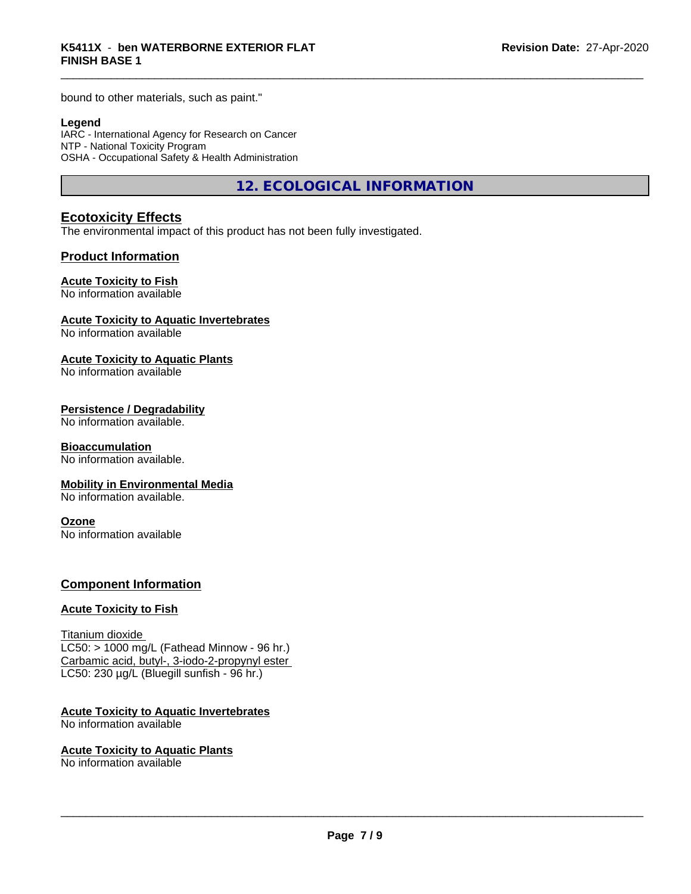bound to other materials, such as paint."

#### **Legend**

IARC - International Agency for Research on Cancer NTP - National Toxicity Program OSHA - Occupational Safety & Health Administration

**12. ECOLOGICAL INFORMATION**

# **Ecotoxicity Effects**

The environmental impact of this product has not been fully investigated.

# **Product Information**

#### **Acute Toxicity to Fish**

No information available

#### **Acute Toxicity to Aquatic Invertebrates**

No information available

#### **Acute Toxicity to Aquatic Plants**

No information available

# **Persistence / Degradability**

No information available.

# **Bioaccumulation**

No information available.

#### **Mobility in Environmental Media**

No information available.

#### **Ozone**

No information available

#### **Component Information**

# **Acute Toxicity to Fish**

Titanium dioxide  $LC50:$  > 1000 mg/L (Fathead Minnow - 96 hr.) Carbamic acid, butyl-, 3-iodo-2-propynyl ester LC50: 230 µg/L (Bluegill sunfish - 96 hr.)

#### **Acute Toxicity to Aquatic Invertebrates**

No information available

#### **Acute Toxicity to Aquatic Plants**

No information available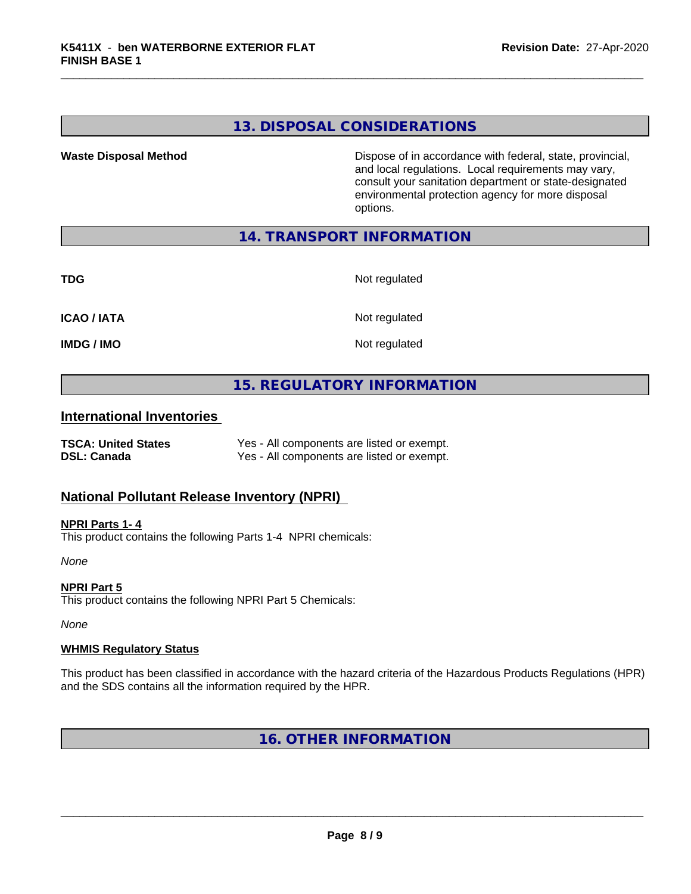# **13. DISPOSAL CONSIDERATIONS**

**Waste Disposal Method Dispose of in accordance with federal, state, provincial,** and local regulations. Local requirements may vary, consult your sanitation department or state-designated environmental protection agency for more disposal options.

# **14. TRANSPORT INFORMATION**

**TDG** Not regulated

**ICAO / IATA** Not regulated

**IMDG / IMO** Not regulated

# **15. REGULATORY INFORMATION**

# **International Inventories**

**TSCA: United States** Yes - All components are listed or exempt. **DSL: Canada** Yes - All components are listed or exempt.

# **National Pollutant Release Inventory (NPRI)**

**NPRI Parts 1- 4** This product contains the following Parts 1-4 NPRI chemicals:

*None*

**NPRI Part 5** This product contains the following NPRI Part 5 Chemicals:

*None*

#### **WHMIS Regulatory Status**

This product has been classified in accordance with the hazard criteria of the Hazardous Products Regulations (HPR) and the SDS contains all the information required by the HPR.

**16. OTHER INFORMATION**